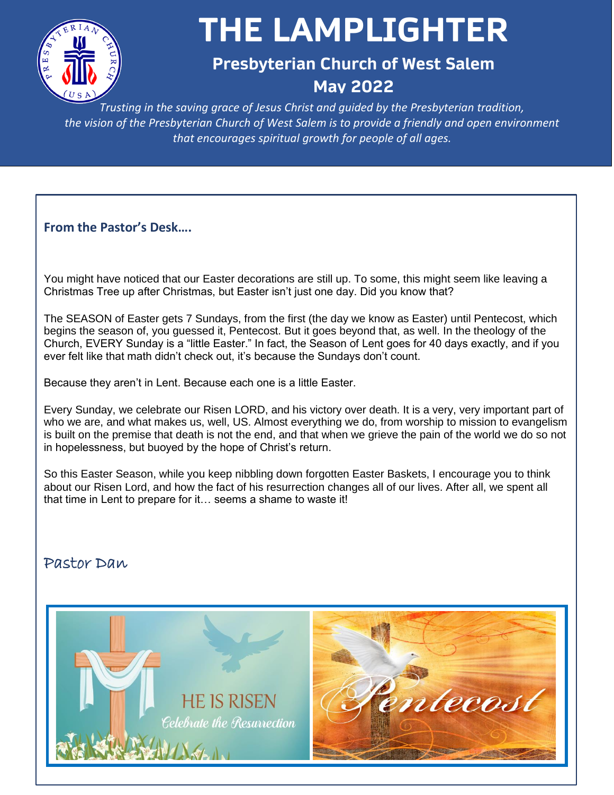

# **THE LAMPLIGHTER**

# **Presbyterian Church of West Salem May 2022**

*Trusting in the saving grace of Jesus Christ and guided by the Presbyterian tradition, the vision of the Presbyterian Church of West Salem is to provide a friendly and open environment that encourages spiritual growth for people of all ages.*

**From the Pastor's Desk….**

You might have noticed that our Easter decorations are still up. To some, this might seem like leaving a Christmas Tree up after Christmas, but Easter isn't just one day. Did you know that?

The SEASON of Easter gets 7 Sundays, from the first (the day we know as Easter) until Pentecost, which begins the season of, you guessed it, Pentecost. But it goes beyond that, as well. In the theology of the Church, EVERY Sunday is a "little Easter." In fact, the Season of Lent goes for 40 days exactly, and if you ever felt like that math didn't check out, it's because the Sundays don't count.

Because they aren't in Lent. Because each one is a little Easter.

Every Sunday, we celebrate our Risen LORD, and his victory over death. It is a very, very important part of who we are, and what makes us, well, US. Almost everything we do, from worship to mission to evangelism is built on the premise that death is not the end, and that when we grieve the pain of the world we do so not in hopelessness, but buoyed by the hope of Christ's return.

So this Easter Season, while you keep nibbling down forgotten Easter Baskets, I encourage you to think about our Risen Lord, and how the fact of his resurrection changes all of our lives. After all, we spent all that time in Lent to prepare for it… seems a shame to waste it!

## Pastor Dan

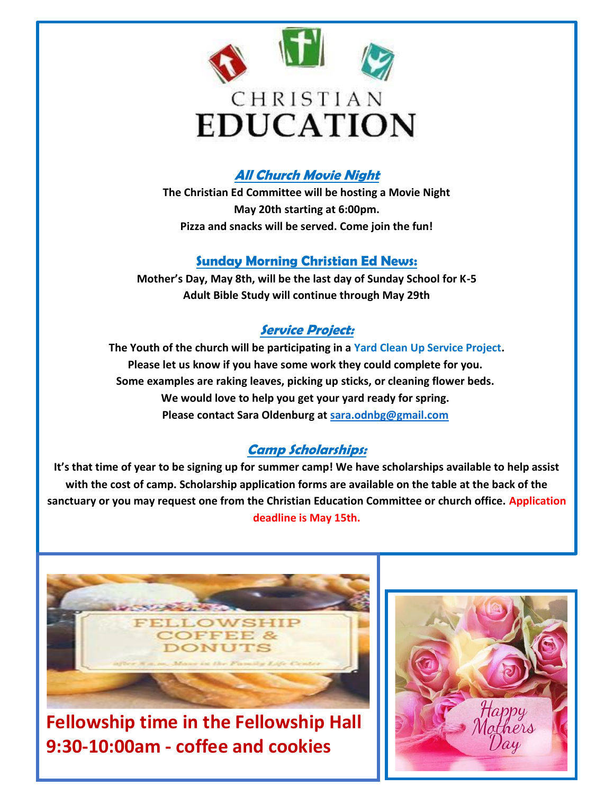

### **All Church Movie Night**

**The Christian Ed Committee will be hosting a Movie Night May 20th starting at 6:00pm. Pizza and snacks will be served. Come join the fun!**

#### **Sunday Morning Christian Ed News:**

**Mother's Day, May 8th, will be the last day of Sunday School for K-5 Adult Bible Study will continue through May 29th**

#### **Service Project:**

**The Youth of the church will be participating in a Yard Clean Up Service Project. Please let us know if you have some work they could complete for you. Some examples are raking leaves, picking up sticks, or cleaning flower beds. We would love to help you get your yard ready for spring. Please contact Sara Oldenburg at [sara.odnbg@gmail.com](mailto:sara.odnbg@gmail.com)**

### **Camp Scholarships:**

**It's that time of year to be signing up for summer camp! We have scholarships available to help assist with the cost of camp. Scholarship application forms are available on the table at the back of the sanctuary or you may request one from the Christian Education Committee or church office. Application deadline is May 15th.**



**Fellowship time in the Fellowship Hall 9:30-10:00am - coffee and cookies**

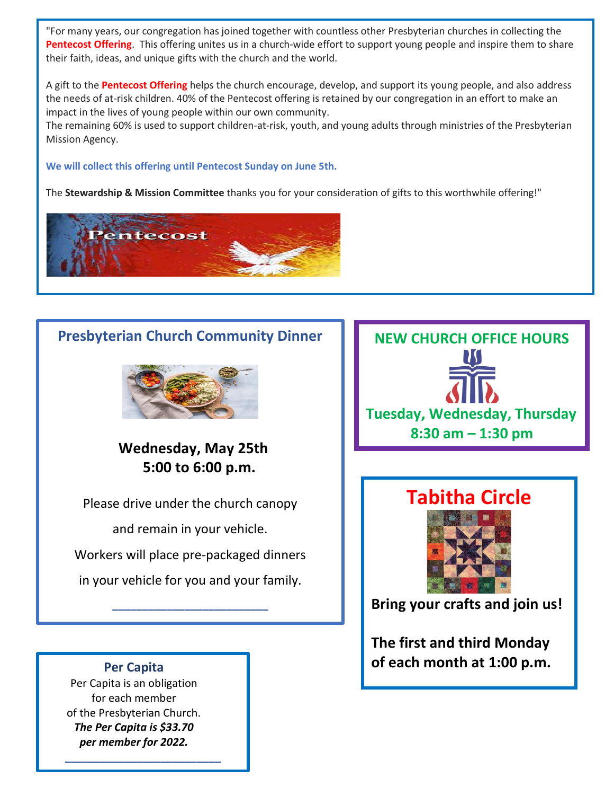"For many years, our congregation has joined together with countless other Presbyterian churches in collecting the Pentecost Offering. This offering unites us in a church-wide effort to support young people and inspire them to share their faith, ideas, and unique gifts with the church and the world.

A gift to the **Pentecost Offering** helps the church encourage, develop, and support its young people, and also address the needs of at-risk children. 40% of the Pentecost offering is retained by our congregation in an effort to make an impact in the lives of young people within our own community.

The remaining 60% is used to support children-at-risk, youth, and young adults through ministries of the Presbyterian Mission Agency.

#### **We will collect this offering until Pentecost Sunday on June 5th.**

The **Stewardship & Mission Committee** thanks you for your consideration of gifts to this worthwhile offering!"



### **Presbyterian Church Community Dinner**



**Wednesday, May 25th 5:00 to 6:00 p.m.**

Please drive under the church canopy and remain in your vehicle. Workers will place pre-packaged dinners in your vehicle for you and your family.

**\_\_\_\_\_\_\_\_\_\_\_\_\_\_\_\_\_\_\_\_\_\_\_\_\_\_**



# **Tabitha Circle**



**Bring your crafts and join us!** 

**The first and third Monday of each month at 1:00 p.m.** 

#### **Per Capita**

Per Capita is an obligation for each member of the Presbyterian Church. *The Per Capita is \$33.70 per member for 2022.*

**\_\_\_\_\_\_\_\_\_\_\_\_\_\_\_\_\_\_\_\_\_\_\_\_\_\_**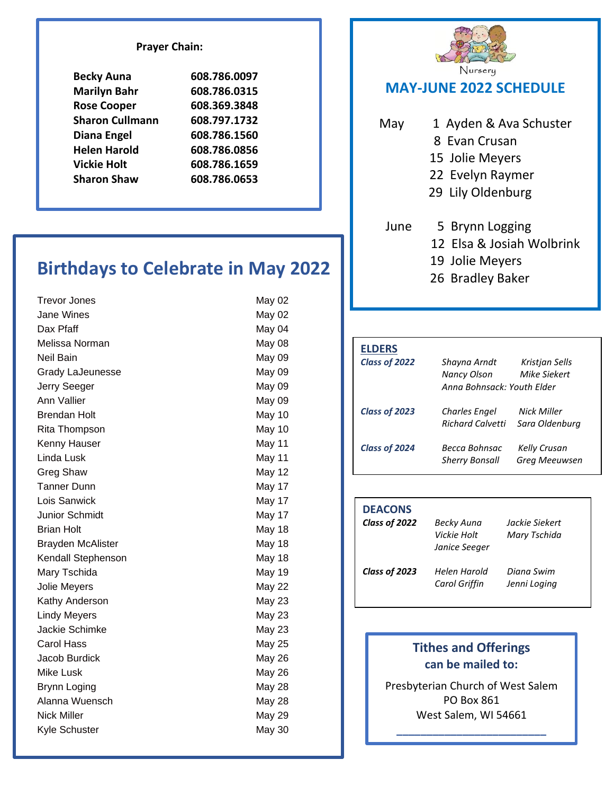#### **Prayer Chain:**

| 608.786.0097 |
|--------------|
| 608.786.0315 |
| 608.369.3848 |
| 608.797.1732 |
| 608.786.1560 |
| 608.786.0856 |
| 608.786.1659 |
| 608.786.0653 |
|              |



#### **MAY-JUNE 2022 SCHEDULE**

- May 1 Ayden & Ava Schuster
	- 8 Evan Crusan
	- 15 Jolie Meyers
	- 22 Evelyn Raymer
	- 29 Lily Oldenburg

- June 5 Brynn Logging
	- 12 Elsa & Josiah Wolbrink
	- 19 Jolie Meyers
	- 26 Bradley Baker

| <b>ELDERS</b><br><b>Class of 2022</b> | Shayna Arndt<br>Nancy Olson<br>Anna Bohnsack: Youth Flder | Kristian Sells<br>Mike Siekert |
|---------------------------------------|-----------------------------------------------------------|--------------------------------|
| Class of 2023                         | <b>Charles Engel</b><br><b>Richard Calvetti</b>           | Nick Miller<br>Sara Oldenburg  |
| <b>Class of 2024</b>                  | Becca Bohnsac<br><b>Sherry Bonsall</b>                    | Kelly Crusan<br>Greg Meeuwsen  |

| <b>DEACONS</b><br>Class of 2022 | Becky Auna<br>Vickie Holt<br>Janice Seeger | Jackie Siekert<br>Mary Tschida |  |
|---------------------------------|--------------------------------------------|--------------------------------|--|
| Class of 2023                   | Helen Harold<br><b>Carol Griffin</b>       | Diana Swim<br>Jenni Loging     |  |

#### **Tithes and Offerings can be mailed to:**

Presbyterian Church of West Salem PO Box 861 West Salem, WI 54661

**\_\_\_\_\_\_\_\_\_\_\_\_\_\_\_\_\_\_\_\_\_\_\_\_\_**

# **Birthdays to Celebrate in May 2022**

| <b>Trevor Jones</b>      | May 02        |
|--------------------------|---------------|
| <b>Jane Wines</b>        | May 02        |
| Dax Pfaff                | May 04        |
| Melissa Norman           | May 08        |
| Neil Bain                | May 09        |
| <b>Grady LaJeunesse</b>  | May 09        |
| Jerry Seeger             | May 09        |
| Ann Vallier              | May 09        |
| <b>Brendan Holt</b>      | May 10        |
| Rita Thompson            | May 10        |
| Kenny Hauser             | May 11        |
| Linda Lusk               | May 11        |
| <b>Greg Shaw</b>         | <b>May 12</b> |
| <b>Tanner Dunn</b>       | May 17        |
| Lois Sanwick             | May 17        |
| Junior Schmidt           | May 17        |
| <b>Brian Holt</b>        | <b>May 18</b> |
| <b>Brayden McAlister</b> | <b>May 18</b> |
| Kendall Stephenson       | May 18        |
| Mary Tschida             | <b>May 19</b> |
| Jolie Meyers             | <b>May 22</b> |
| Kathy Anderson           | <b>May 23</b> |
| <b>Lindy Meyers</b>      | May 23        |
| Jackie Schimke           | <b>May 23</b> |
| <b>Carol Hass</b>        | <b>May 25</b> |
| Jacob Burdick            | May 26        |
| <b>Mike Lusk</b>         | <b>May 26</b> |
| <b>Brynn Loging</b>      | <b>May 28</b> |
| Alanna Wuensch           | <b>May 28</b> |
| <b>Nick Miller</b>       | May 29        |
| Kyle Schuster            | May 30        |
|                          |               |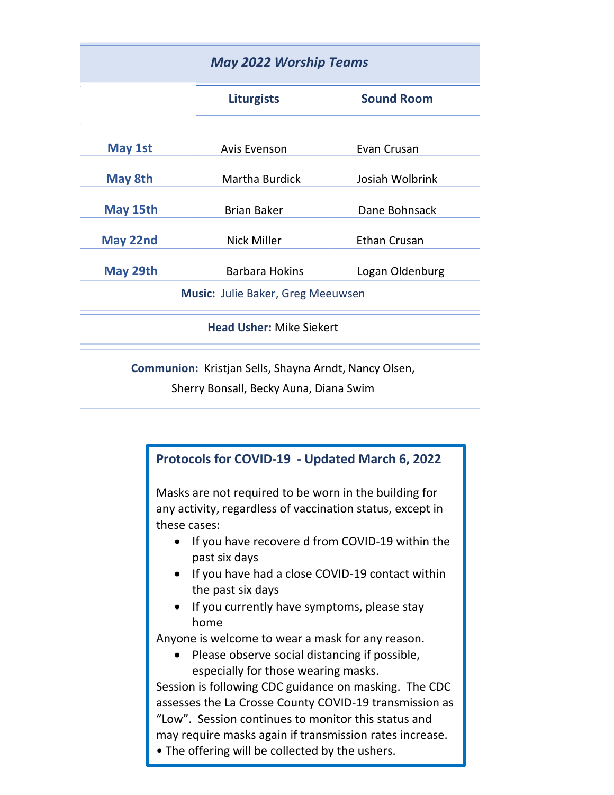| <b>May 2022 Worship Teams</b> |                                          |                   |  |
|-------------------------------|------------------------------------------|-------------------|--|
|                               | <b>Liturgists</b>                        | <b>Sound Room</b> |  |
| May 1st                       | <b>Avis Evenson</b>                      | Evan Crusan       |  |
| May 8th                       | <b>Martha Burdick</b>                    | Josiah Wolbrink   |  |
| May 15th                      | <b>Brian Baker</b>                       | Dane Bohnsack     |  |
| May 22nd                      | <b>Nick Miller</b>                       | Ethan Crusan      |  |
| May 29th                      | Barbara Hokins                           | Logan Oldenburg   |  |
|                               | <b>Music: Julie Baker, Greg Meeuwsen</b> |                   |  |
|                               | <b>Head Usher: Mike Siekert</b>          |                   |  |

**Communion:** Kristjan Sells, Shayna Arndt, Nancy Olsen,

Sherry Bonsall, Becky Auna, Diana Swim



any activity, regardless of vaccination status, except in these cases:

- If you have recovere d from COVID-19 within the past six days
- If you have had a close COVID-19 contact within the past six days
- If you currently have symptoms, please stay home

Anyone is welcome to wear a mask for any reason.

• Please observe social distancing if possible, especially for those wearing masks.

Session is following CDC guidance on masking. The CDC assesses the La Crosse County COVID-19 transmission as "Low". Session continues to monitor this status and may require masks again if transmission rates increase.

• The offering will be collected by the ushers.